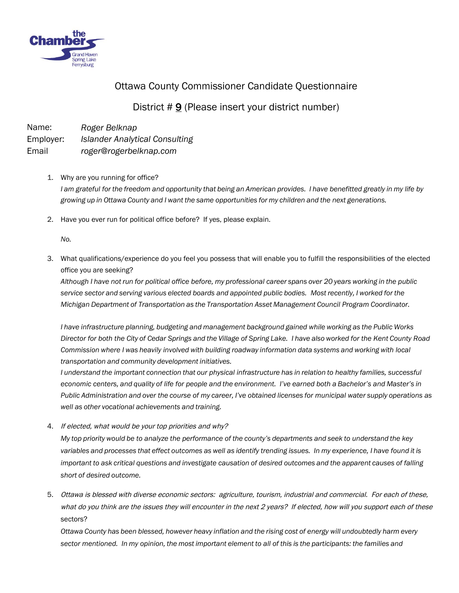

## Ottawa County Commissioner Candidate Questionnaire

## District # 9 (Please insert your district number)

Name: Employer: Email *Roger Belknap Islander Analytical Consulting roger@rogerbelknap.com*

- 1. Why are you running for office? *I am grateful for the freedom and opportunity that being an American provides. I have benefitted greatly in my life by growing up in Ottawa County and I want the same opportunities for my children and the next generations.*
- 2. Have you ever run for political office before? If yes, please explain.

*No.*

3. What qualifications/experience do you feel you possess that will enable you to fulfill the responsibilities of the elected office you are seeking?

*Although I have not run for political office before, my professional career spans over 20 years working in the public service sector and serving various elected boards and appointed public bodies. Most recently, I worked for the Michigan Department of Transportation as the Transportation Asset Management Council Program Coordinator.*

*I have infrastructure planning, budgeting and management background gained while working as the Public Works Director for both the City of Cedar Springs and the Village of Spring Lake. I have also worked for the Kent County Road Commission where I was heavily involved with building roadway information data systems and working with local transportation and community development initiatives.*

*I understand the important connection that our physical infrastructure has in relation to healthy families, successful economic centers, and quality of life for people and the environment. I've earned both a Bachelor's and Master's in Public Administration and over the course of my career, I've obtained licenses for municipal water supply operations as well as other vocational achievements and training.*

4. If elected, what would be your top priorities and why?

*My top priority would be to analyze the performance of the county's departments and seek to understand the key variables and processes that effect outcomes as well as identify trending issues. In my experience, I have found it is important to ask critical questions and investigate causation of desired outcomes and the apparent causes of falling short of desired outcome.*

5. Ottawa is blessed with diverse economic sectors: agriculture, tourism, industrial and commercial. For each of these, what do you think are the issues they will encounter in the next 2 years? If elected, how will you support each of these sectors?

*Ottawa County has been blessed, however heavy inflation and the rising cost of energy will undoubtedly harm every sector mentioned. In my opinion, the most important element to all of this is the participants: the families and*